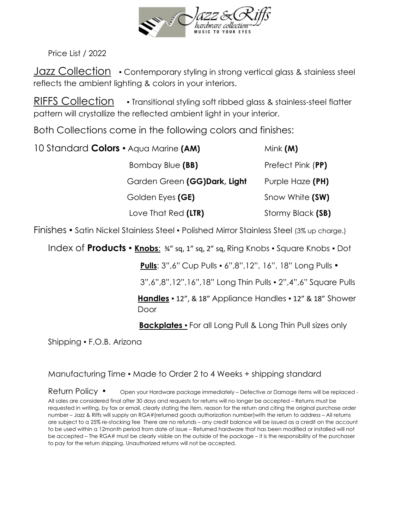

Price List / 2022

Jazz Collection • Contemporary styling in strong vertical glass & stainless steel reflects the ambient lighting & colors in your interiors.

RIFFS Collection • Transitional styling soft ribbed glass & stainless-steel flatter pattern will crystallize the reflected ambient light in your interior.

Both Collections come in the following colors and finishes:

| 10 Standard Colors • Aqua Marine (AM) | Mink $(M)$        |
|---------------------------------------|-------------------|
| Bombay Blue (BB)                      | Prefect Pink (PP) |
| Garden Green (GG)Dark, Light          | Purple Haze (PH)  |
| Golden Eyes (GE)                      | Snow White (SW)   |
| Love That Red (LTR)                   | Stormy Black (SB) |

Finishes ▪ Satin Nickel Stainless Steel ▪ Polished Mirror Stainless Steel (3% up charge.)

Index of **Products** ▪ **Knobs**: ¾" sq, 1" sq, 2" sq, Ring Knobs ▪ Square Knobs ▪ Dot

**Pulls**: 3",6" Cup Pulls ▪ 6",8",12", 16", 18" Long Pulls ▪

3",6",8",12",16",18" Long Thin Pulls ▪ 2",4",6" Square Pulls

**Handles** ▪ 12", & 18" Appliance Handles ▪ 12" & 18" Shower Door

**Backplates •** For all Long Pull & Long Thin Pull sizes only

Shipping ▪ F.O.B. Arizona

#### Manufacturing Time ▪ Made to Order 2 to 4 Weeks + shipping standard

Return Policy • Open your Hardware package immediately – Defective or Damage items will be replaced -All sales are considered final after 30 days and requests for returns will no longer be accepted – Returns must be requested in writing, by fax or email, clearly stating the item, reason for the return and citing the original purchase order number – Jazz & Riffs will supply an RGA#(returned goods authorization number)with the return to address – All returns are subject to a 25% re-stocking fee There are no refunds – any credit balance will be issued as a credit on the account to be used within a 12month period from date of issue – Returned hardware that has been modified or installed will not be accepted – The RGA# must be clearly visible on the outside of the package – it is the responsibility of the purchaser to pay for the return shipping. Unauthorized returns will not be accepted.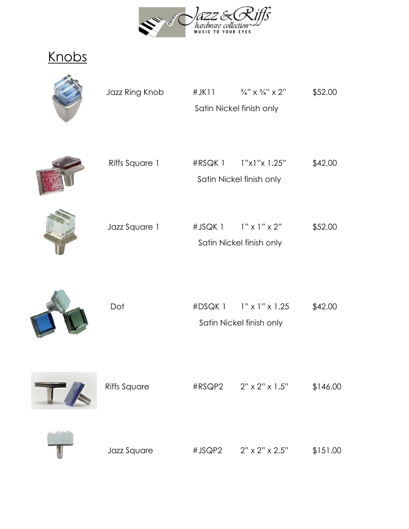

Knobs



| Jazz Ring Knob | $#$ JK $11$ | $\frac{3}{4}$ " x $\frac{3}{4}$ " x 2" | \$52.00 |
|----------------|-------------|----------------------------------------|---------|
|                |             | Satin Nickel finish only               |         |
|                |             |                                        |         |



| Riffs Square 1 | #RSQK 1 | 1"x1"x1.25"              | \$42.00 |
|----------------|---------|--------------------------|---------|
|                |         | Satin Nickel finish only |         |



| Jazz Square 1 | #JSQK 1 | $1" \times 1" \times 2"$ | \$52.00 |
|---------------|---------|--------------------------|---------|
|               |         | Satin Nickel finish only |         |



| Dot | $\#DSQK$ 1 $\#V \times 1$ " $\times$ 1.25 | \$42.00 |
|-----|-------------------------------------------|---------|
|     | Satin Nickel finish only                  |         |



| <b>M</b> | <b>Riffs Square</b> | #RSQP2 | $2" \times 2" \times 1.5"$ | \$146.00 |
|----------|---------------------|--------|----------------------------|----------|
|          | Jazz Square         | #JSQP2 | $2" \times 2" \times 2.5"$ | \$151.00 |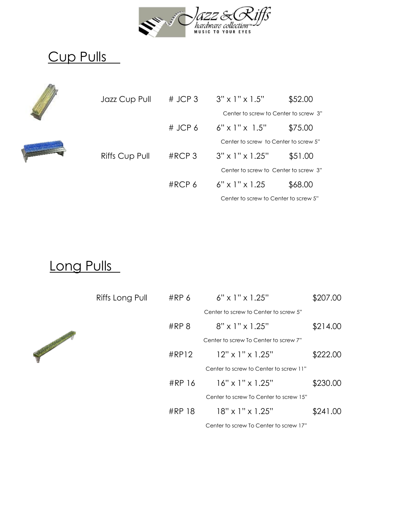

## Cup Pulls



| Jazz Cup Pull  | $#$ JCP 3  | $3" \times 1" \times 1.5"$            | \$52.00 |
|----------------|------------|---------------------------------------|---------|
|                |            | Center to screw to Center to screw 3" |         |
|                | # JCP $6$  | $6" \times 1" \times 1.5"$            | \$75.00 |
|                |            | Center to screw to Center to screw 5" |         |
| Riffs Cup Pull | $\#$ RCP 3 | $3" \times 1" \times 1.25"$           | \$51.00 |
|                |            | Center to screw to Center to screw 3" |         |
|                | $\#$ RCP 6 | $6" \times 1" \times 1.25$            | \$68.00 |
|                |            | Center to screw to Center to screw 5" |         |

#### Long Pulls

| Riffs Long Pull | #RP <sub>6</sub> | $6" \times 1" \times 1.25"$            | \$207.00 |
|-----------------|------------------|----------------------------------------|----------|
|                 |                  | Center to screw to Center to screw 5"  |          |
|                 | #RP 8            | $8" \times 1" \times 1.25"$            | \$214.00 |
|                 |                  | Center to screw To Center to screw 7"  |          |
|                 | #RP12            | $12" \times 1" \times 1.25"$           | \$222.00 |
|                 |                  | Center to screw to Center to screw 11" |          |
|                 | #RP 16           | $16" \times 1" \times 1.25"$           | \$230.00 |
|                 |                  | Center to screw To Center to screw 15" |          |
|                 | #RP 18           | $18" \times 1" \times 1.25"$           | \$241.00 |
|                 |                  | Center to screw To Center to screw 17" |          |

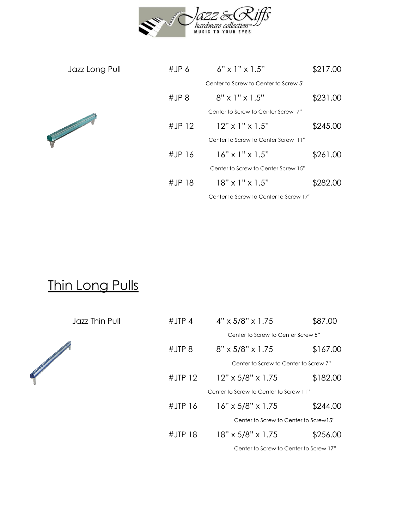

| Jazz Long Pull | #JP $6$ | $6" \times 1" \times 1.5"$             | \$217.00 |
|----------------|---------|----------------------------------------|----------|
|                |         | Center to Screw to Center to Screw 5"  |          |
|                | #JP 8   | $8" \times 1" \times 1.5"$             | \$231.00 |
|                |         | Center to Screw to Center Screw 7"     |          |
|                | #JP12   | $12" \times 1" \times 1.5"$            | \$245.00 |
|                |         | Center to Screw to Center Screw 11"    |          |
|                | #JP16   | $16" \times 1" \times 1.5"$            | \$261.00 |
|                |         | Center to Screw to Center Screw 15"    |          |
|                | #JP18   | $18" \times 1" \times 1.5"$            | \$282.00 |
|                |         | Center to Screw to Center to Screw 17" |          |

## Thin Long Pulls

Jazz Thin Pull



| #JTP $4$  | $4" \times 5/8" \times 1.75$           | \$87.00  |
|-----------|----------------------------------------|----------|
|           | Center to Screw to Center Screw 5"     |          |
| #JIP8     | $8" \times 5/8" \times 1.75$           | \$167.00 |
|           | Center to Screw to Center to Screw 7"  |          |
| #JTP $12$ | $12" \times 5/8" \times 1.75$          | \$182.00 |
|           | Center to Screw to Center to Screw 11" |          |
| #JTP $16$ | $16" \times 5/8" \times 1.75$          | \$244.00 |
|           | Center to Screw to Center to Screw15"  |          |
| $#JTP$ 18 | 18" x 5/8" x 1.75                      | \$256.00 |
|           | Center to Screw to Center to Screw 17" |          |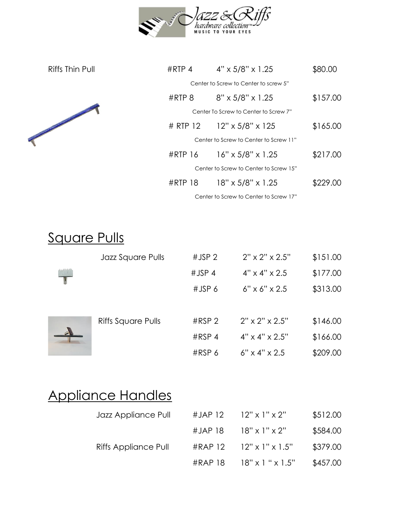

| Riffs Thin Pull | #RTP 4    | $4" \times 5/8" \times 1.25$           | \$80.00  |
|-----------------|-----------|----------------------------------------|----------|
|                 |           | Center to Screw to Center to screw 5"  |          |
|                 | #RTP 8    | 8" x 5/8" x 1.25                       | \$157.00 |
|                 |           | Center To Screw to Center to Screw 7"  |          |
|                 |           | # RTP 12 12" x 5/8" x 125              | \$165.00 |
|                 |           | Center to Screw to Center to Screw 11" |          |
|                 |           | #RTP 16 16" x 5/8" x 1.25              | \$217.00 |
|                 |           | Center to Screw to Center to Screw 15" |          |
|                 | $#RTP$ 18 | 18" x 5/8" x 1.25                      | \$229.00 |
|                 |           | Center to Screw to Center to Screw 17" |          |

## Square Pulls

| Jazz Square Pulls         | #JSP <sub>2</sub> | $2" \times 2" \times 2.5"$ | \$151.00 |
|---------------------------|-------------------|----------------------------|----------|
|                           | $#JSP$ 4          | $4" \times 4" \times 2.5$  | \$177.00 |
|                           | $#JSP$ 6          | $6" \times 6" \times 2.5$  | \$313.00 |
|                           |                   |                            |          |
| <b>Riffs Square Pulls</b> | #RSP <sub>2</sub> | $2" \times 2" \times 2.5"$ | \$146.00 |
|                           | $#RSP$ 4          | $4" \times 4" \times 2.5"$ | \$166.00 |
|                           | #RSP 6            | $6" \times 4" \times 2.5$  | \$209.00 |

## Appliance Handles

| Jazz Appliance Pull  | #JAP 12 $12" \times 1" \times 2"$     | \$512.00 |
|----------------------|---------------------------------------|----------|
|                      | #JAP 18 $18" \times 1" \times 2"$     | \$584.00 |
| Riffs Appliance Pull | #RAP $12$ $12" \times 1" \times 1.5"$ | \$379.00 |
|                      | #RAP 18 $18" \times 1" \times 1.5"$   | \$457.00 |